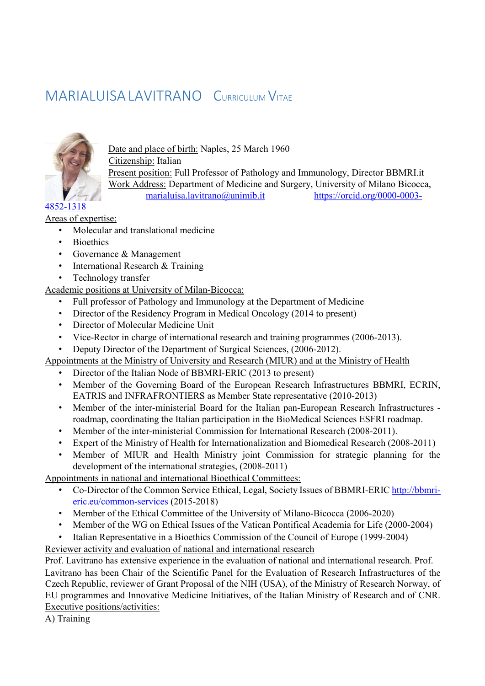# MARIALUISALAVITRANO CURRICULUM VITAE



Date and place of birth: Naples, 25 March 1960 Citizenship: Italian Present position: Full Professor of Pathology and Immunology, Director BBMRI.it Work Address: Department of Medicine and Surgery, University of Milano Bicocca, marialuisa.lavitrano@unimib.it https://orcid.org/0000-0003-

Areas of expertise:

- Molecular and translational medicine
- **Bioethics**
- Governance & Management
- International Research & Training
- Technology transfer

Academic positions at University of Milan-Bicocca:

- Full professor of Pathology and Immunology at the Department of Medicine
- Director of the Residency Program in Medical Oncology (2014 to present)
- Director of Molecular Medicine Unit
- Vice-Rector in charge of international research and training programmes (2006-2013).
- Deputy Director of the Department of Surgical Sciences, (2006-2012).

Appointments at the Ministry of University and Research (MIUR) and at the Ministry of Health

- Director of the Italian Node of BBMRI-ERIC (2013 to present)
- Member of the Governing Board of the European Research Infrastructures BBMRI, ECRIN, EATRIS and INFRAFRONTIERS as Member State representative (2010-2013)
- Member of the inter-ministerial Board for the Italian pan-European Research Infrastructures roadmap, coordinating the Italian participation in the BioMedical Sciences ESFRI roadmap.
- Member of the inter-ministerial Commission for International Research (2008-2011).
- Expert of the Ministry of Health for Internationalization and Biomedical Research (2008-2011)
- Member of MIUR and Health Ministry joint Commission for strategic planning for the development of the international strategies, (2008-2011)

Appointments in national and international Bioethical Committees:

- Co-Director of the Common Service Ethical, Legal, Society Issues of BBMRI-ERIC http://bbmrieric.eu/common-services (2015-2018)
- Member of the Ethical Committee of the University of Milano-Bicocca (2006-2020)
- Member of the WG on Ethical Issues of the Vatican Pontifical Academia for Life (2000-2004)
- Italian Representative in a Bioethics Commission of the Council of Europe (1999-2004)

Reviewer activity and evaluation of national and international research

Prof. Lavitrano has extensive experience in the evaluation of national and international research. Prof. Lavitrano has been Chair of the Scientific Panel for the Evaluation of Research Infrastructures of the Czech Republic, reviewer of Grant Proposal of the NIH (USA), of the Ministry of Research Norway, of EU programmes and Innovative Medicine Initiatives, of the Italian Ministry of Research and of CNR. Executive positions/activities:

A) Training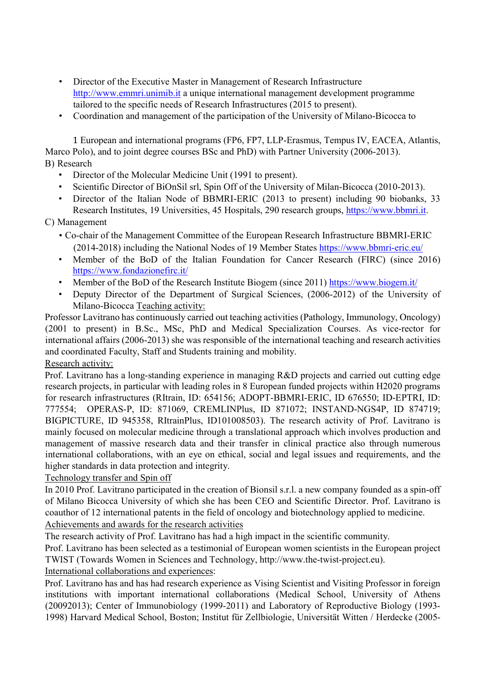- Director of the Executive Master in Management of Research Infrastructure http://www.emmri.unimib.it a unique international management development programme tailored to the specific needs of Research Infrastructures (2015 to present).
- Coordination and management of the participation of the University of Milano-Bicocca to

 1 European and international programs (FP6, FP7, LLP-Erasmus, Tempus IV, EACEA, Atlantis, Marco Polo), and to joint degree courses BSc and PhD) with Partner University (2006-2013). B) Research

- Director of the Molecular Medicine Unit (1991 to present).
- Scientific Director of BiOnSil srl, Spin Off of the University of Milan-Bicocca (2010-2013).
- Director of the Italian Node of BBMRI-ERIC (2013 to present) including 90 biobanks, 33 Research Institutes, 19 Universities, 45 Hospitals, 290 research groups, https://www.bbmri.it.

## C) Management

- Co-chair of the Management Committee of the European Research Infrastructure BBMRI-ERIC (2014-2018) including the National Nodes of 19 Member States https://www.bbmri-eric.eu/
- Member of the BoD of the Italian Foundation for Cancer Research (FIRC) (since 2016) https://www.fondazionefirc.it/
- Member of the BoD of the Research Institute Biogem (since 2011) https://www.biogem.it/
- Deputy Director of the Department of Surgical Sciences, (2006-2012) of the University of Milano-Bicocca Teaching activity:

Professor Lavitrano has continuously carried out teaching activities (Pathology, Immunology, Oncology) (2001 to present) in B.Sc., MSc, PhD and Medical Specialization Courses. As vice-rector for international affairs (2006-2013) she was responsible of the international teaching and research activities and coordinated Faculty, Staff and Students training and mobility.

## Research activity:

Prof. Lavitrano has a long-standing experience in managing R&D projects and carried out cutting edge research projects, in particular with leading roles in 8 European funded projects within H2020 programs for research infrastructures (RItrain, ID: 654156; ADOPT-BBMRI-ERIC, ID 676550; ID-EPTRI, ID: 777554; OPERAS-P, ID: 871069, CREMLINPlus, ID 871072; INSTAND-NGS4P, ID 874719; BIGPICTURE, ID 945358, RItrainPlus, ID101008503). The research activity of Prof. Lavitrano is mainly focused on molecular medicine through a translational approach which involves production and management of massive research data and their transfer in clinical practice also through numerous international collaborations, with an eye on ethical, social and legal issues and requirements, and the higher standards in data protection and integrity.

## Technology transfer and Spin off

In 2010 Prof. Lavitrano participated in the creation of Bionsil s.r.l. a new company founded as a spin-off of Milano Bicocca University of which she has been CEO and Scientific Director. Prof. Lavitrano is coauthor of 12 international patents in the field of oncology and biotechnology applied to medicine. Achievements and awards for the research activities

The research activity of Prof. Lavitrano has had a high impact in the scientific community.

Prof. Lavitrano has been selected as a testimonial of European women scientists in the European project TWIST (Towards Women in Sciences and Technology, http://www.the-twist-project.eu).

## International collaborations and experiences:

Prof. Lavitrano has and has had research experience as Vising Scientist and Visiting Professor in foreign institutions with important international collaborations (Medical School, University of Athens (20092013); Center of Immunobiology (1999-2011) and Laboratory of Reproductive Biology (1993- 1998) Harvard Medical School, Boston; Institut für Zellbiologie, Universität Witten / Herdecke (2005